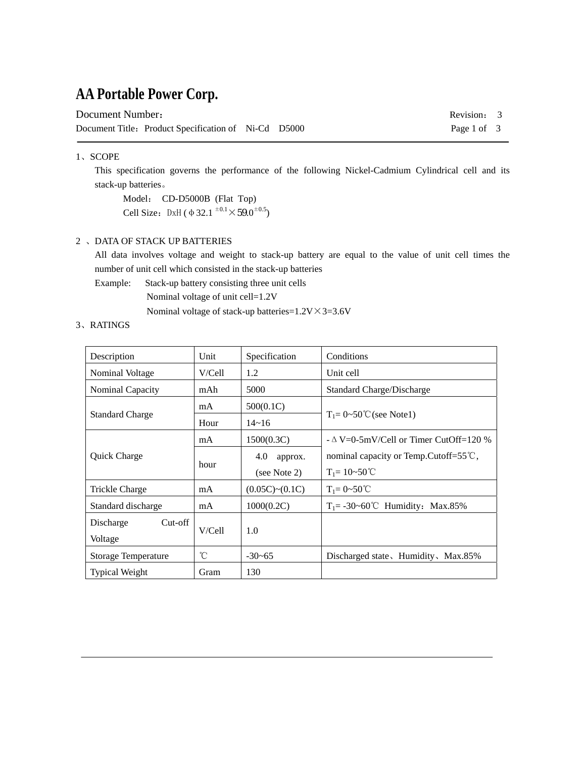## **AA Portable Power Corp.**

| Document Number: |                                                      |  |  |
|------------------|------------------------------------------------------|--|--|
|                  | Document Title: Product Specification of Ni-Cd D5000 |  |  |

Revision: 3 Page 1 of 3

#### 1、SCOPE

 This specification governs the performance of the following Nickel-Cadmium Cylindrical cell and its stack-up batteries。

 Model: CD-D5000B (Flat Top) Cell Size: DxH ( $\Phi$  32.1  $^{\pm 0.1} \times 59.0^{\pm 0.5}$ )

#### 2 、DATA OF STACK UP BATTERIES

All data involves voltage and weight to stack-up battery are equal to the value of unit cell times the number of unit cell which consisted in the stack-up batteries

Example: Stack-up battery consisting three unit cells

Nominal voltage of unit cell=1.2V

Nominal voltage of stack-up batteries= $1.2V \times 3 = 3.6V$ 

#### 3、RATINGS

| Description             | Unit         | Specification  | Conditions                                        |  |
|-------------------------|--------------|----------------|---------------------------------------------------|--|
| Nominal Voltage         | V/Cell1      | 1.2            | Unit cell                                         |  |
| <b>Nominal Capacity</b> | mAh          | 5000           | Standard Charge/Discharge                         |  |
|                         | mA           | 500(0.1C)      |                                                   |  |
| <b>Standard Charge</b>  | Hour         | $14 - 16$      | $T_1 = 0 \sim 50$ °C (see Note1)                  |  |
|                         | mA           | 1500(0.3C)     | $-\Delta V=0.5$ mV/Cell or Timer CutOff=120 %     |  |
| Quick Charge            | hour         | 4.0<br>approx. | nominal capacity or Temp. Cutoff= $55^{\circ}$ C, |  |
|                         |              | (see Note 2)   | $T_1 = 10 - 50^{\circ}C$                          |  |
| Trickle Charge          | mA           | (0.05C)~(0.1C) | $T_1 = 0 - 50^{\circ}C$                           |  |
| Standard discharge      | mA           | 1000(0.2C)     | $T_1 = -30 \sim 60^{\circ}$ C Humidity: Max.85%   |  |
| $Cut-off$<br>Discharge  |              |                |                                                   |  |
| Voltage                 | V/Cell1      | 1.0            |                                                   |  |
| Storage Temperature     | $^{\circ}$ C | $-30-65$       | Discharged state, Humidity, Max.85%               |  |
| <b>Typical Weight</b>   | Gram         | 130            |                                                   |  |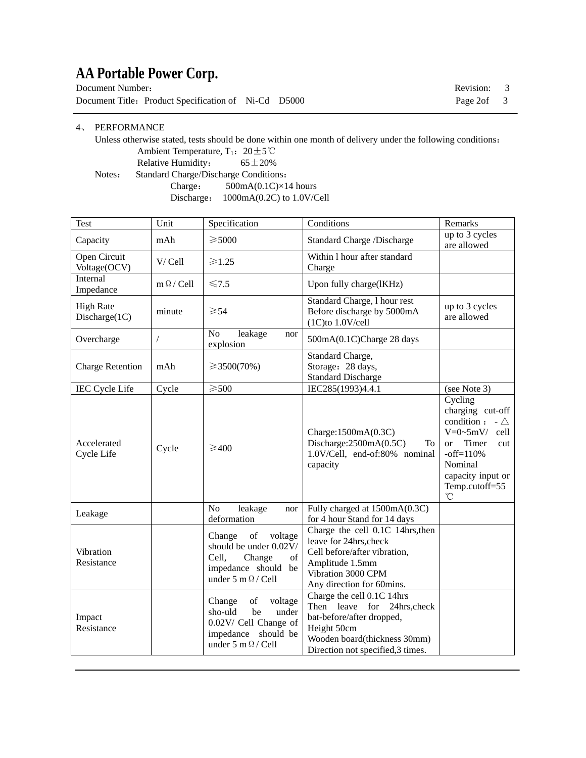# **AA Portable Power Corp.**

| Document Number:                                     |  | Revision: 3 |  |
|------------------------------------------------------|--|-------------|--|
| Document Title: Product Specification of Ni-Cd D5000 |  | Page 2of 3  |  |

#### 4、 PERFORMANCE

 Unless otherwise stated, tests should be done within one month of delivery under the following conditions: Ambient Temperature, T<sub>1</sub>:  $20 \pm 5^{\circ}$ C

Relative Humidity:  $65 \pm 20\%$ 

Notes: Standard Charge/Discharge Conditions:

 Charge: 500mA(0.1C)×14 hours Discharge: 1000mA(0.2C) to 1.0V/Cell

| Test                              | Unit                            | Specification                                                                                                                  | Conditions                                                                                                                                                                          | Remarks                                                                                                                                                                                            |
|-----------------------------------|---------------------------------|--------------------------------------------------------------------------------------------------------------------------------|-------------------------------------------------------------------------------------------------------------------------------------------------------------------------------------|----------------------------------------------------------------------------------------------------------------------------------------------------------------------------------------------------|
| Capacity                          | mAh                             | $\geqslant$ 5000                                                                                                               | <b>Standard Charge /Discharge</b>                                                                                                                                                   | up to 3 cycles<br>are allowed                                                                                                                                                                      |
| Open Circuit<br>Voltage(OCV)      | V/Cell                          | $\geqslant$ 1.25                                                                                                               | Within 1 hour after standard<br>Charge                                                                                                                                              |                                                                                                                                                                                                    |
| Internal<br>Impedance             | $m \Omega /$ Cell               | $\leq 7.5$                                                                                                                     | Upon fully charge(lKHz)                                                                                                                                                             |                                                                                                                                                                                                    |
| <b>High Rate</b><br>Discharge(1C) | minute                          | $\geqslant$ 54                                                                                                                 | Standard Charge, 1 hour rest<br>Before discharge by 5000mA<br>$(1C)$ to $1.0V/cell$                                                                                                 |                                                                                                                                                                                                    |
| Overcharge                        | $\sqrt{2}$                      | No<br>leakage<br>nor<br>explosion                                                                                              | 500mA(0.1C)Charge 28 days                                                                                                                                                           |                                                                                                                                                                                                    |
| <b>Charge Retention</b>           | mAh                             | $\geq 3500(70\%)$                                                                                                              | Standard Charge,<br>Storage: 28 days,<br><b>Standard Discharge</b>                                                                                                                  |                                                                                                                                                                                                    |
| <b>IEC Cycle Life</b>             | Cycle                           | $\geqslant$ 500                                                                                                                | IEC285(1993)4.4.1                                                                                                                                                                   | (see Note 3)                                                                                                                                                                                       |
| Accelerated<br>Cycle Life         | $\geq 400$<br>Cycle<br>capacity |                                                                                                                                | Charge: $1500mA(0.3C)$<br>Discharge: $2500mA(0.5C)$<br>To<br>1.0V/Cell, end-of:80% nominal                                                                                          | Cycling<br>charging cut-off<br>condition:<br>- $\triangle$<br>$V=0$ ~5mV/<br>cell<br>Timer<br><b>or</b><br>cut<br>$-off=110%$<br>Nominal<br>capacity input or<br>Temp.cutoff=55<br>$\rm ^{\circ}C$ |
| Leakage                           |                                 | No<br>leakage<br>nor<br>deformation                                                                                            | Fully charged at 1500mA(0.3C)<br>for 4 hour Stand for 14 days                                                                                                                       |                                                                                                                                                                                                    |
| Vibration<br>Resistance           |                                 | of<br>Change<br>voltage<br>should be under 0.02V/<br>Cell,<br>Change<br>of<br>impedance should be<br>under 5 m $\Omega$ / Cell | Charge the cell 0.1C 14hrs, then<br>leave for 24hrs, check<br>Cell before/after vibration,<br>Amplitude 1.5mm<br>Vibration 3000 CPM<br>Any direction for 60mins.                    |                                                                                                                                                                                                    |
| Impact<br>Resistance              |                                 | Change<br>voltage<br>of<br>be<br>sho-uld<br>under<br>0.02V/ Cell Change of<br>impedance should be<br>under 5 m $\Omega$ / Cell | Charge the cell 0.1C 14hrs<br>leave<br>for<br>Then<br>24hrs, check<br>bat-before/after dropped,<br>Height 50cm<br>Wooden board(thickness 30mm)<br>Direction not specified, 3 times. |                                                                                                                                                                                                    |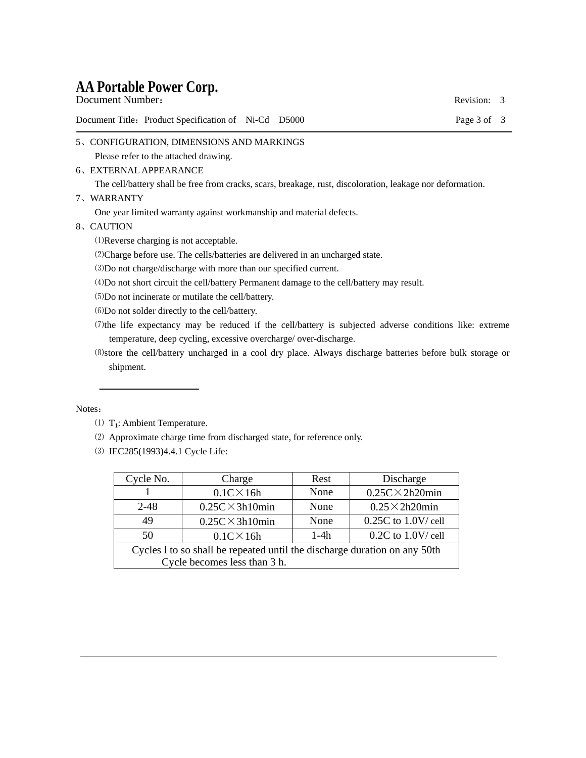# **AA Portable Power Corp.**

| Document Title: Product Specification of Ni-Cd D5000 | Page 3 of 3 |  |
|------------------------------------------------------|-------------|--|
| Document Number:                                     | Revision: 3 |  |

- 5、CONFIGURATION, DIMENSIONS AND MARKINGS Please refer to the attached drawing.
- 6、EXTERNAL APPEARANCE

The cell/battery shall be free from cracks, scars, breakage, rust, discoloration, leakage nor deformation.

7、WARRANTY

One year limited warranty against workmanship and material defects.

8、CAUTION

⑴Reverse charging is not acceptable.

- ⑵Charge before use. The cells/batteries are delivered in an uncharged state.
- ⑶Do not charge/discharge with more than our specified current.
- ⑷Do not short circuit the cell/battery Permanent damage to the cell/battery may result.
- ⑸Do not incinerate or mutilate the cell/battery.
- ⑹Do not solder directly to the cell/battery.
- ⑺the life expectancy may be reduced if the cell/battery is subjected adverse conditions like: extreme temperature, deep cycling, excessive overcharge/ over-discharge.

 ⑻store the cell/battery uncharged in a cool dry place. Always discharge batteries before bulk storage or shipment.

#### Notes:

- (1)  $T_1$ : Ambient Temperature.
- ⑵ Approximate charge time from discharged state, for reference only.
- ⑶ IEC285(1993)4.4.1 Cycle Life:

| Cycle No.                                                                                                 | Charge                                               | Rest | Discharge              |  |  |
|-----------------------------------------------------------------------------------------------------------|------------------------------------------------------|------|------------------------|--|--|
|                                                                                                           | $0.1C \times 16h$                                    | None | $0.25C \times 2h20min$ |  |  |
| $2 - 48$                                                                                                  | $0.25C \times 3h10min$                               | None | $0.25 \times 2h20$ min |  |  |
| 49                                                                                                        | $0.25C \times 3h10min$                               | None | $0.25C$ to $1.0V$ cell |  |  |
| 50                                                                                                        | $0.2C$ to $1.0V$ cell<br>$1-4h$<br>$0.1C \times 16h$ |      |                        |  |  |
| Cycles 1 to so shall be repeated until the discharge duration on any 50th<br>Cycle becomes less than 3 h. |                                                      |      |                        |  |  |